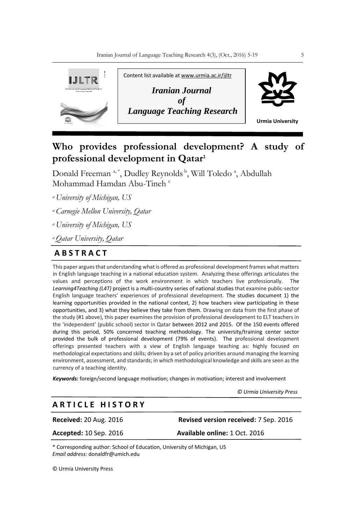

# **Who provides professional development? A study of professional development in Qatar<sup>1</sup>**

Donald Freeman<sup>a,\*</sup>, Dudley Reynolds<sup>b</sup>, Will Toledo<sup>a</sup>, Abdullah Mohammad Hamdan Abu-Tineh c

*<sup>a</sup>University of Michigan, US*

*<sup>a</sup>Carnegie Mellon University, Qatar*

*<sup>a</sup>University of Michigan, US*

*<sup>a</sup>Qatar University, Qatar*

# **A B S T R A C T**

This paper argues that understanding what is offered as professional development frames what matters in English language teaching in a national education system. Analyzing these offerings articulates the values and perceptions of the work environment in which teachers live professionally. The *Learning4Teaching (L4T)* project is a multi-country series of national studies that examine public-sector English language teachers' experiences of professional development. The studies document 1) the learning opportunities provided in the national context, 2) how teachers view participating in these opportunities, and 3) what they believe they take from them. Drawing on data from the first phase of the study (#1 above), this paper examines the provision of professional development to ELT teachers in the 'independent' (public school) sector in Qatar between 2012 and 2015. Of the 150 events offered during this period, 50% concerned teaching methodology. The university/training center sector provided the bulk of professional development (79% of events). The professional development offerings presented teachers with a view of English language teaching as: highly focused on methodological expectations and skills; driven by a set of policy priorities around managing the learning environment, assessment, and standards; in which methodological knowledge and skills are seen as the currency of a teaching identity.

*Keywords:* foreign/second language motivation; changes in motivation; interest and involvement

 *© Urmia University Press*

# **A R T I C L E H I S T O R Y**

**Received:** 20 Aug. 2016 **Revised version received:** 7 Sep. 2016

**Accepted:** 10 Sep. 2016 **Available online:** 1 Oct. 2016

\* Corresponding author: School of Education, University of Michigan, US *Email address:* donaldfr@umich.edu

© Urmia University Press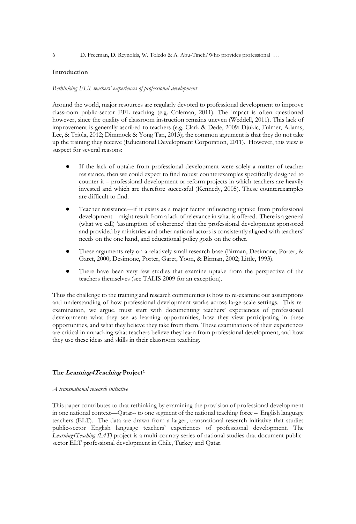# **Introduction**

#### *Rethinking ELT teachers' experiences of professional development*

Around the world, major resources are regularly devoted to professional development to improve classroom public-sector EFL teaching (e.g. Coleman, 2011). The impact is often questioned however, since the quality of classroom instruction remains uneven (Weddell, 2011). This lack of improvement is generally ascribed to teachers (e.g. Clark & Dede, 2009; Djukic, Fulmer, Adams, Lee, & Triola, 2012; Dimmock & Yong Tan, 2013); the common argument is that they do not take up the training they receive (Educational Development Corporation, 2011). However, this view is suspect for several reasons:

- If the lack of uptake from professional development were solely a matter of teacher resistance, then we could expect to find robust counterexamples specifically designed to counter it – professional development or reform projects in which teachers are heavily invested and which are therefore successful (Kennedy, 2005). These counterexamples are difficult to find.
- Teacher resistance—if it exists as a major factor influencing uptake from professional development – might result from a lack of relevance in what is offered. There is a general (what we call) 'assumption of coherence' that the professional development sponsored and provided by ministries and other national actors is consistently aligned with teachers' needs on the one hand, and educational policy goals on the other.
- These arguments rely on a relatively small research base (Birman, Desimone, Porter, & Garet, 2000; Desimone, Porter, Garet, Yoon, & Birman, 2002; Little, 1993).
- There have been very few studies that examine uptake from the perspective of the teachers themselves (see TALIS 2009 for an exception).

Thus the challenge to the training and research communities is how to re-examine our assumptions and understanding of how professional development works across large-scale settings. This reexamination, we argue, must start with documenting teachers' experiences of professional development: what they see as learning opportunities, how they view participating in these opportunities, and what they believe they take from them. These examinations of their experiences are critical in unpacking what teachers believe they learn from professional development, and how they use these ideas and skills in their classroom teaching.

#### **The Learning4Teaching Project<sup>2</sup>**

#### *A transnational research initiative*

This paper contributes to that rethinking by examining the provision of professional development in one national context—Qatar-- to one segment of the national teaching force – English language teachers (ELT). The data are drawn from a larger, transnational research initiative that studies public-sector English language teachers' experiences of professional development. The *Learning4Teaching (L4T)* project is a multi-country series of national studies that document publicsector ELT professional development in Chile, Turkey and Qatar.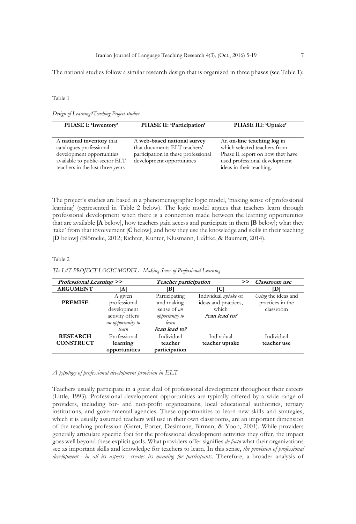#### Table 1

*Design of Learning4Teaching Project studies*

| PHASE I: 'Inventory'                                                                                                                                    | PHASE II: 'Participation'                                                                                                       | PHASE III: 'Uptake'                                                                                                                                         |  |
|---------------------------------------------------------------------------------------------------------------------------------------------------------|---------------------------------------------------------------------------------------------------------------------------------|-------------------------------------------------------------------------------------------------------------------------------------------------------------|--|
|                                                                                                                                                         |                                                                                                                                 |                                                                                                                                                             |  |
| A national inventory that<br>catalogues professional<br>development opportunities<br>available to public-sector ELT<br>teachers in the last three years | A web-based national survey<br>that documents ELT teachers'<br>participation in these professional<br>development opportunities | An on-line teaching log in<br>which selected teachers from<br>Phase II report on how they have<br>used professional development<br>ideas in their teaching. |  |

The project's studies are based in a phenomenographic logic model, 'making sense of professional learning' (represented in Table 2 below). The logic model argues that teachers learn through professional development when there is a connection made between the learning opportunities that are available [**A** below], how teachers gain access and participate in them [**B** below]; what they 'take' from that involvement [**C** below], and how they use the knowledge and skills in their teaching [**D** below] (Blömeke, 2012; Richter, Kunter, Klusmann, Lüdtke, & Baumert, 2014).

#### Table 2

*The L4T PROJECT LOGIC MODEL - Making Sense of Professional Learning*

| <b>Professional Learning &gt;&gt;</b> |                   | Teacher participation | >                    | Classroom use       |
|---------------------------------------|-------------------|-----------------------|----------------------|---------------------|
| <b>ARGUMENT</b>                       | ſΑl               | [B]                   | [C]                  | וסו                 |
|                                       | A given           | Participating         | Individual uptake of | Using the ideas and |
| <b>PREMISE</b>                        | professional      | and making            | ideas and practices, | practices in the    |
|                                       | development       | sense of <i>an</i>    | which                | classroom           |
|                                       | activity offers   | opportunity to        | Pcan lead to?        |                     |
|                                       | an opportunity to | learn                 |                      |                     |
|                                       | learn             | Pcan lead to?         |                      |                     |
| <b>RESEARCH</b>                       | Professional      | Individual            | Individual           | Individual          |
| <b>CONSTRUCT</b>                      | learning          | teacher               | teacher uptake       | teacher use         |
|                                       | opportunities     | participation         |                      |                     |

#### *A typology of professional development provision in ELT*

Teachers usually participate in a great deal of professional development throughout their careers (Little, 1993). Professional development opportunities are typically offered by a wide range of providers, including for- and non-profit organizations, local educational authorities, tertiary institutions, and governmental agencies. These opportunities to learn new skills and strategies, which it is usually assumed teachers will use in their own classrooms, are an important dimension of the teaching profession (Garet, Porter, Desimone, Birman, & Yoon, 2001). While providers generally articulate specific foci for the professional development activities they offer, the impact goes well beyond these explicit goals. What providers offer signifies *de facto* what their organizations see as important skills and knowledge for teachers to learn. In this sense, *the provision of professional development—in all its aspects—creates its meaning for participants*. Therefore, a broader analysis of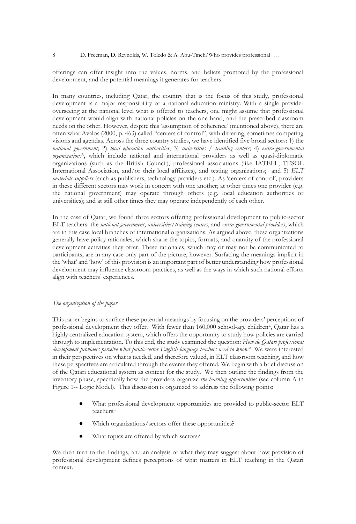offerings can offer insight into the values, norms, and beliefs promoted by the professional development, and the potential meanings it generates for teachers.

In many countries, including Qatar, the country that is the focus of this study, professional development is a major responsibility of a national education ministry. With a single provider overseeing at the national level what is offered to teachers, one might assume that professional development would align with national policies on the one hand, and the prescribed classroom needs on the other. However, despite this 'assumption of coherence' (mentioned above), there are often what Avalos (2000, p. 463) called "centers of control", with differing, sometimes competing visions and agendas. Across the three country studies, we have identified five broad sectors: 1) the *national government*; 2) *local education authorities*; 3) *universities / training centers*; 4) *extra-governmental organizations*3, which include national and international providers as well as quasi-diplomatic organizations (such as the British Council), professional associations (like IATEFL, TESOL International Association, and/or their local affiliates), and testing organizations; and 5) *ELT materials suppliers* (such as publishers, technology providers etc.). As 'centers of control', providers in these different sectors may work in concert with one another; at other times one provider (e.g. the national government) may operate through others (e.g. local education authorities or universities); and at still other times they may operate independently of each other.

In the case of Qatar, we found three sectors offering professional development to public-sector ELT teachers: the *national government*, *universities/training centers*, and *extra-governmental providers*, which are in this case local branches of international organizations. As argued above, these organizations generally have policy rationales, which shape the topics, formats, and quantity of the professional development activities they offer. These rationales, which may or may not be communicated to participants, are in any case only part of the picture, however. Surfacing the meanings implicit in the 'what' and 'how' of this provision is an important part of better understanding how professional development may influence classroom practices, as well as the ways in which such national efforts align with teachers' experiences.

### *The organization of the paper*

This paper begins to surface these potential meanings by focusing on the providers' perceptions of professional development they offer. With fewer than 160,000 school-age children4, Qatar has a highly centralized education system, which offers the opportunity to study how policies are carried through to implementation. To this end, the study examined the question: *How do Qatari professional development providers perceive what public-sector English language teachers need to know?* We were interested in their perspectives on what is needed, and therefore valued, in ELT classroom teaching, and how these perspectives are articulated through the events they offered. We begin with a brief discussion of the Qatari educational system as context for the study. We then outline the findings from the inventory phase, specifically how the providers organize *the learning opportunities* (see column A in Figure 1-- Logic Model). This discussion is organized to address the following points:

- What professional development opportunities are provided to public-sector ELT teachers?
- Which organizations/sectors offer these opportunities?
- What topics are offered by which sectors?

We then turn to the findings, and an analysis of what they may suggest about how provision of professional development defines perceptions of what matters in ELT teaching in the Qatari context.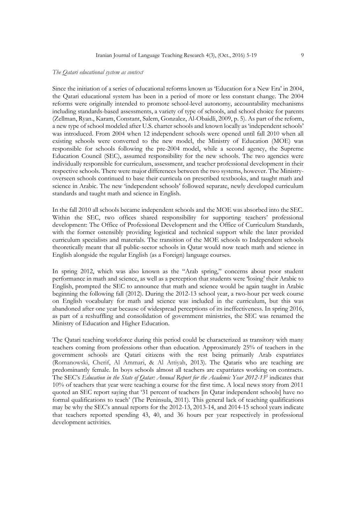#### *The Qatari educational system as context*

Since the initiation of a series of educational reforms known as 'Education for a New Era' in 2004, the Qatari educational system has been in a period of more or less constant change. The 2004 reforms were originally intended to promote school-level autonomy, accountability mechanisms including standards-based assessments, a variety of type of schools, and school choice for parents (Zellman, Ryan., Karam, Constant, Salem, Gonzalez, Al-Obaidli, 2009, p. 5). As part of the reform, a new type of school modeled after U.S. charter schools and known locally as 'independent schools' was introduced. From 2004 when 12 independent schools were opened until fall 2010 when all existing schools were converted to the new model, the Ministry of Education (MOE) was responsible for schools following the pre-2004 model, while a second agency, the Supreme Education Council (SEC), assumed responsibility for the new schools. The two agencies were individually responsible for curriculum, assessment, and teacher professional development in their respective schools. There were major differences between the two systems, however. The Ministryoverseen schools continued to base their curricula on prescribed textbooks, and taught math and science in Arabic. The new 'independent schools' followed separate, newly developed curriculum standards and taught math and science in English.

In the fall 2010 all schools became independent schools and the MOE was absorbed into the SEC. Within the SEC, two offices shared responsibility for supporting teachers' professional development: The Office of Professional Development and the Office of Curriculum Standards, with the former ostensibly providing logistical and technical support while the later provided curriculum specialists and materials. The transition of the MOE schools to Independent schools theoretically meant that all public-sector schools in Qatar would now teach math and science in English alongside the regular English (as a Foreign) language courses.

In spring 2012, which was also known as the "Arab spring," concerns about poor student performance in math and science, as well as a perception that students were 'losing' their Arabic to English, prompted the SEC to announce that math and science would be again taught in Arabic beginning the following fall (2012). During the 2012-13 school year, a two-hour per week course on English vocabulary for math and science was included in the curriculum, but this was abandoned after one year because of widespread perceptions of its ineffectiveness. In spring 2016, as part of a reshuffling and consolidation of government ministries, the SEC was renamed the Ministry of Education and Higher Education.

The Qatari teaching workforce during this period could be characterized as transitory with many teachers coming from professions other than education. Approximately 25% of teachers in the government schools are Qatari citizens with the rest being primarily Arab expatriates (Romanowski, Cherif, Al Ammari, & Al Attiyah, 2013). The Qataris who are teaching are predominantly female. In boys schools almost all teachers are expatriates working on contracts. The SEC's *Education in the State of Qatar: Annual Report for the Academic Year 2012-13<sup>5</sup>* indicates that 10% of teachers that year were teaching a course for the first time. A local news story from 2011 quoted an SEC report saying that '31 percent of teachers [in Qatar independent schools] have no formal qualifications to teach' (The Peninsula, 2011). This general lack of teaching qualifications may be why the SEC's annual reports for the 2012-13, 2013-14, and 2014-15 school years indicate that teachers reported spending 43, 40, and 36 hours per year respectively in professional development activities.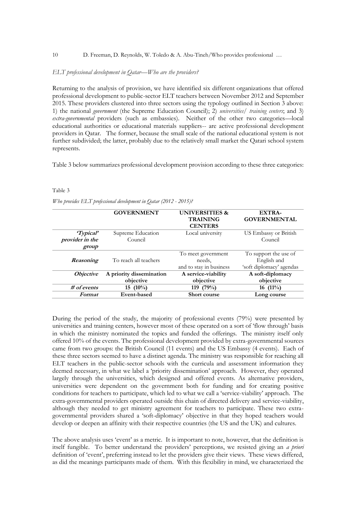#### 10 D. Freeman, D. Reynolds, W. Toledo & A. Abu-Tineh/Who provides professional …

#### *ELT professional development in Qatar—Who are the providers?*

Returning to the analysis of provision, we have identified six different organizations that offered professional development to public-sector ELT teachers between November 2012 and September 2015. These providers clustered into three sectors using the typology outlined in Section 3 above: 1) the national *government* (the Supreme Education Council); 2) *universities/ training centers*; and 3) *extra-governmental* providers (such as embassies). Neither of the other two categories—local educational authorities or educational materials suppliers-- are active professional development providers in Qatar. The former, because the small scale of the national educational system is not further subdivided; the latter, probably due to the relatively small market the Qatari school system represents.

Table 3 below summarizes professional development provision according to these three categories:

#### Table 3

*Who provides ELT professional development in Qatar (2012 - 2015)?* 

|                                   | <b>GOVERNMENT</b>                     | <b>UNIVERSITIES &amp;</b><br><b>TRAINING</b><br><b>CENTERS</b> | EXTRA-<br><b>GOVERNMENTAL</b>                                    |
|-----------------------------------|---------------------------------------|----------------------------------------------------------------|------------------------------------------------------------------|
| <i>Typical</i><br>provider in the | Supreme Education<br>Council          | Local university                                               | US Embassy or British<br>Council                                 |
| group                             |                                       |                                                                |                                                                  |
| Reasoning                         | To reach all teachers                 | To meet government<br>needs,<br>and to stay in business        | To support the use of<br>English and<br>'soft diplomacy' agendas |
| <i><b>Objective</b></i>           | A priority dissemination<br>objective | A service-viability<br>objective                               | A soft-diplomacy<br>objective                                    |
| $#$ of events                     | $(10\%)$<br>15                        | 119 $(79%)$                                                    | 16 $(11\%)$                                                      |
| Format                            | Event-based                           | Short course                                                   | Long course                                                      |

During the period of the study, the majority of professional events (79%) were presented by universities and training centers, however most of these operated on a sort of 'flow through' basis in which the ministry nominated the topics and funded the offerings. The ministry itself only offered 10% of the events. The professional development provided by extra-governmental sources came from two groups: the British Council (11 events) and the US Embassy (4 events). Each of these three sectors seemed to have a distinct agenda. The ministry was responsible for reaching all ELT teachers in the public-sector schools with the curricula and assessment information they deemed necessary, in what we label a 'priority dissemination' approach. However, they operated largely through the universities, which designed and offered events. As alternative providers, universities were dependent on the government both for funding and for creating positive conditions for teachers to participate, which led to what we call a 'service-viability' approach. The extra-governmental providers operated outside this chain of directed delivery and service-viability, although they needed to get ministry agreement for teachers to participate. These two extragovernmental providers shared a 'soft-diplomacy' objective in that they hoped teachers would develop or deepen an affinity with their respective countries (the US and the UK) and cultures.

The above analysis uses 'event' as a metric. It is important to note, however, that the definition is itself fungible. To better understand the providers' perceptions, we resisted giving an *a priori* definition of 'event', preferring instead to let the providers give their views. These views differed, as did the meanings participants made of them. With this flexibility in mind, we characterized the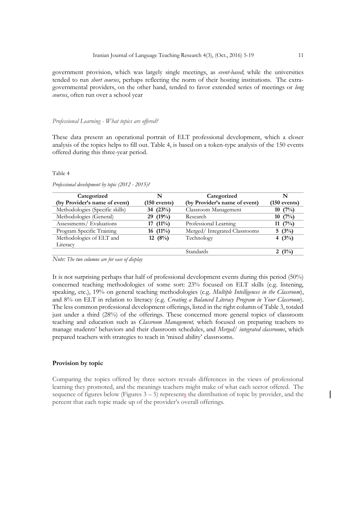government provision, which was largely single meetings, as *event-based*; while the universities tended to run *short courses*, perhaps reflecting the norm of their hosting institutions. The extragovernmental providers, on the other hand, tended to favor extended series of meetings or *long courses*, often run over a school year

#### *Professional Learning - What topics are offered?*

These data present an operational portrait of ELT professional development, which a closer analysis of the topics helps to fill out. Table 4, is based on a token-type analysis of the 150 events offered during this three-year period.

#### Table 4

| Categorized                     | N              | Categorized                   | N              |
|---------------------------------|----------------|-------------------------------|----------------|
| (by Provider's name of event)   | $(150$ events) | (by Provider's name of event) | $(150$ events) |
| Methodologies (Specific skills) | 34 $(23%)$     | Classroom Management          | $10(7\%)$      |
| Methodologies (General)         | 29(19%)        | Research                      | 10(7%)         |
| Assessments/Evaluations         | $17(11\%)$     | Professional Learning         | 11 $(7%)$      |
| Program Specific Training       | $16(11\%)$     | Merged/Integrated Classrooms  | 5 $(3\%)$      |
| Methodologies of ELT and        | 12 $(8%)$      | Technology                    | 4 $(3%)$       |
| Literacy                        |                |                               |                |
|                                 |                | <b>Standards</b>              | 2 $(1%)$       |

*Professional development by topic (2012 - 2015)?*

*Note: The two columns are for ease of display*

It is not surprising perhaps that half of professional development events during this period (50%) concerned teaching methodologies of some sort: 23% focused on ELT skills (e.g. listening, speaking, etc.), 19% on general teaching methodologies (e.g. *Multiple Intelligences in the Classroom*), and 8% on ELT in relation to literacy (e.g. *Creating a Balanced Literacy Program in Your Classroom*). The less common professional development offerings, listed in the right column of Table 3, totaled just under a third (28%) of the offerings. These concerned more general topics of classroom teaching and education such as *Classroom Management,* which focused on preparing teachers to manage students' behaviors and their classroom schedules, and *Merged/ integrated classrooms*, which prepared teachers with strategies to teach in 'mixed ability' classrooms.

#### **Provision by topic**

Comparing the topics offered by three sectors reveals differences in the views of professional learning they promoted, and the meanings teachers might make of what each sector offered. The sequence of figures below (Figures  $3 - 5$ ) represents the distribution of topic by provider, and the percent that each topic made up of the provider's overall offerings.

 $\overline{\phantom{a}}$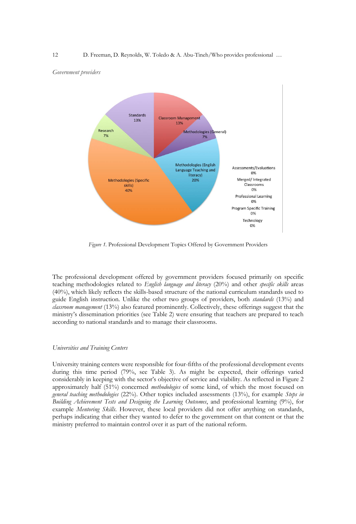#### *Government providers*



*Figure 1.* Professional Development Topics Offered by Government Providers

The professional development offered by government providers focused primarily on specific teaching methodologies related to *English language and literacy* (20%) and other *specific skills* areas (40%), which likely reflects the skills-based structure of the national curriculum standards used to guide English instruction. Unlike the other two groups of providers, both *standards* (13%) and *classroom management* (13%) also featured prominently. Collectively, these offerings suggest that the ministry's dissemination priorities (see Table 2) were ensuring that teachers are prepared to teach according to national standards and to manage their classrooms.

# *Universities and Training Centers*

University training centers were responsible for four-fifths of the professional development events during this time period (79%, see Table 3). As might be expected, their offerings varied considerably in keeping with the sector's objective of service and viability. As reflected in Figure 2 approximately half (51%) concerned *methodologies* of some kind, of which the most focused on *general teaching methodologies* (22%). Other topics included assessments (13%), for example *Steps in Building Achievement Tests and Designing the Learning Outcomes*, and professional learning (9%), for example *Mentoring Skills*. However, these local providers did not offer anything on standards, perhaps indicating that either they wanted to defer to the government on that content or that the ministry preferred to maintain control over it as part of the national reform.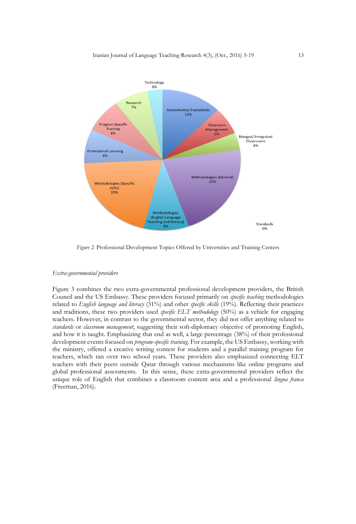

*Figure 2.* Professional Development Topics Offered by Universities and Training Centers

#### *Extra-governmental providers*

Figure 3 combines the two extra-governmental professional development providers, the British Council and the US Embassy. These providers focused primarily on *specific teaching* methodologies related to *English language and literacy* (31%) and other *specific skills* (19%). Reflecting their practices and traditions, these two providers used *specific ELT methodology* (50%) as a vehicle for engaging teachers. However, in contrast to the governmental sector, they did not offer anything related to *standards* or *classroom management*, suggesting their soft-diplomacy objective of promoting English, and how it is taught. Emphasizing that end as well, a large percentage (38%) of their professional development events focused on *program-specific training*. For example, the US Embassy, working with the ministry, offered a creative writing contest for students and a parallel training program for teachers, which ran over two school years. These providers also emphasized connecting ELT teachers with their peers outside Qatar through various mechanisms like online programs and global professional assessments. In this sense, these extra-governmental providers reflect the unique role of English that combines a classroom content area and a professional *lingua franca* (Freeman, 2016).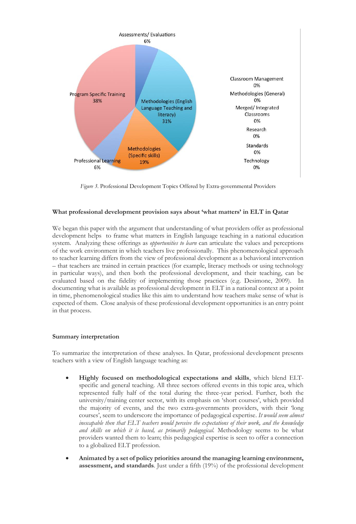

*Figure 3*. Professional Development Topics Offered by Extra-governmental Providers

# **What professional development provision says about 'what matters' in ELT in Qatar**

We began this paper with the argument that understanding of what providers offer as professional development helps to frame what matters in English language teaching in a national education system. Analyzing these offerings as *opportunities to learn* can articulate the values and perceptions of the work environment in which teachers live professionally. This phenomenological approach to teacher learning differs from the view of professional development as a behavioral intervention – that teachers are trained in certain practices (for example, literacy methods or using technology in particular ways), and then both the professional development, and their teaching, can be evaluated based on the fidelity of implementing those practices (e.g. Desimone, 2009). In documenting what is available as professional development in ELT in a national context at a point in time, phenomenological studies like this aim to understand how teachers make sense of what is expected of them. Close analysis of these professional development opportunities is an entry point in that process.

# **Summary interpretation**

To summarize the interpretation of these analyses. In Qatar, professional development presents teachers with a view of English language teaching as:

- **Highly focused on methodological expectations and skills**, which blend ELTspecific and general teaching. All three sectors offered events in this topic area, which represented fully half of the total during the three-year period. Further, both the university/training center sector, with its emphasis on 'short courses', which provided the majority of events, and the two extra-governments providers, with their 'long courses', seem to underscore the importance of pedagogical expertise. *It would seem almost inescapable then that ELT teachers would perceive the expectations of their work, and the knowledge and skills on which it is based, as primarily pedagogical.* Methodology seems to be what providers wanted them to learn; this pedagogical expertise is seen to offer a connection to a globalized ELT profession.
- **Animated by a set of policy priorities around the managing learning environment, assessment, and standards***.* Just under a fifth (19%) of the professional development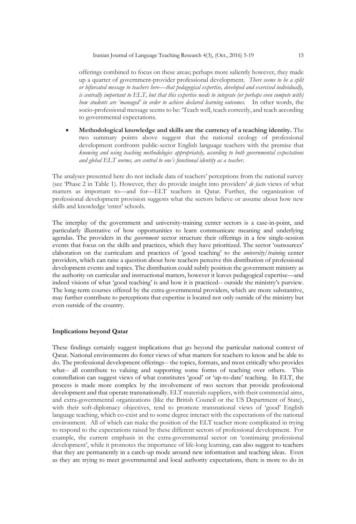offerings combined to focus on these areas; perhaps more saliently however, they made up a quarter of government-provider professional development. *There seems to be a split or bifurcated message to teachers here—that pedagogical expertise, developed and exercised individually, is centrally important to ELT, but that this expertise needs to integrate (or perhaps even compete with) how students are 'managed' in order to achieve declared learning outcomes.* In other words, the socio-professional message seems to be: 'Teach well, teach correctly, and teach according to governmental expectations.

 **Methodological knowledge and skills are the currency of a teaching identity.** The two summary points above suggest that the national ecology of professional development confronts public-sector English language teachers with the premise that *knowing and using teaching methodologies appropriately, according to both governmental expectations and global ELT norms, are central to one's functional identity as a teacher*.

The analyses presented here do not include data of teachers' perceptions from the national survey (see 'Phase 2 in Table 1). However, they do provide insight into providers' *de facto* views of what matters as important to—and for—ELT teachers in Qatar. Further, the organization of professional development provision suggests what the sectors believe or assume about how new skills and knowledge 'enter' schools.

The interplay of the government and university-training center sectors is a case-in-point, and particularly illustrative of how opportunities to learn communicate meaning and underlying agendas. The providers in the *government* sector structure their offerings in a few single-session events that focus on the skills and practices, which they have prioritized. The sector 'outsources' elaboration on the curriculum and practices of 'good teaching' to the *university/training* center providers, which can raise a question about how teachers perceive this distribution of professional development events and topics. The distribution could subtly position the government ministry as the authority on curricular and instructional matters, however it leaves pedagogical expertise—and indeed visions of what 'good teaching' is and how it is practiced-- outside the ministry's purview. The long-term courses offered by the extra-governmental providers, which are more substantive, may further contribute to perceptions that expertise is located not only outside of the ministry but even outside of the country.

# **Implications beyond Qatar**

These findings certainly suggest implications that go beyond the particular national context of Qatar. National environments do foster views of what matters for teachers to know and be able to do. The professional development offerings-- the topics, formats, and most critically who provides what-- all contribute to valuing and supporting some forms of teaching over others. This constellation can suggest views of what constitutes 'good' or 'up-to-date' teaching. In ELT, the process is made more complex by the involvement of two sectors that provide professional development and that operate transnationally. ELT materials suppliers, with their commercial aims, and extra-governmental organizations (like the British Council or the US Department of State), with their soft-diplomacy objectives, tend to promote transnational views of 'good' English language teaching, which co-exist and to some degree interact with the expectations of the national environment. All of which can make the position of the ELT teacher more complicated in trying to respond to the expectations raised by these different sectors of professional development. For example, the current emphasis in the extra-governmental sector on 'continuing professional development', while it promotes the importance of life-long learning, can also suggest to teachers that they are permanently in a catch-up mode around new information and teaching ideas. Even as they are trying to meet governmental and local authority expectations, there is more to do in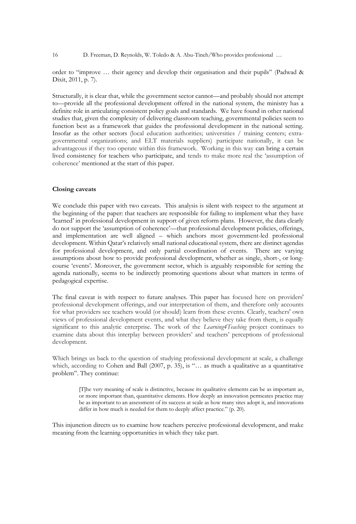order to "improve … their agency and develop their organisation and their pupils" (Padwad & Dixit, 2011, p. 7).

Structurally, it is clear that, while the government sector cannot—and probably should not attempt to—provide all the professional development offered in the national system, the ministry has a definite role in articulating consistent policy goals and standards. We have found in other national studies that, given the complexity of delivering classroom teaching, governmental policies seem to function best as a framework that guides the professional development in the national setting. Insofar as the other sectors (local education authorities; universities / training centers; extragovernmental organizations; and ELT materials suppliers) participate nationally, it can be advantageous if they too operate within this framework. Working in this way can bring a certain lived consistency for teachers who participate, and tends to make more real the 'assumption of coherence' mentioned at the start of this paper.

### **Closing caveats**

We conclude this paper with two caveats. This analysis is silent with respect to the argument at the beginning of the paper: that teachers are responsible for failing to implement what they have 'learned' in professional development in support of given reform plans. However, the data clearly do not support the 'assumption of coherence'—that professional development policies, offerings, and implementation are well aligned – which anchors most government-led professional development. Within Qatar's relatively small national educational system, there are distinct agendas for professional development, and only partial coordination of events. There are varying assumptions about how to provide professional development, whether as single, short-, or longcourse 'events'. Moreover, the government sector, which is arguably responsible for setting the agenda nationally, seems to be indirectly promoting questions about what matters in terms of pedagogical expertise.

The final caveat is with respect to future analyses. This paper has focused here on providers' professional development offerings, and our interpretation of them, and therefore only accounts for what providers see teachers would (or should) learn from these events. Clearly, teachers' own views of professional development events, and what they believe they take from them, is equally significant to this analytic enterprise. The work of the *Learning4Teaching* project continues to examine data about this interplay between providers' and teachers' perceptions of professional development.

Which brings us back to the question of studying professional development at scale, a challenge which, according to Cohen and Ball (2007, p. 35), is "... as much a qualitative as a quantitative problem". They continue:

> [T]he very meaning of scale is distinctive, because its qualitative elements can be as important as, or more important than, quantitative elements. How deeply an innovation permeates practice may be as important to an assessment of its success at scale as how many sites adopt it, and innovations differ in how much is needed for them to deeply affect practice." (p. 20).

This injunction directs us to examine how teachers perceive professional development, and make meaning from the learning opportunities in which they take part.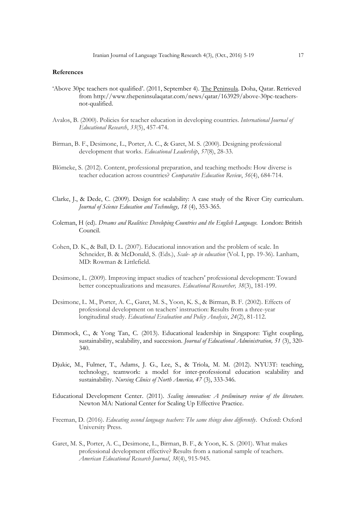#### **References**

- 'Above 30pc teachers not qualified'. (2011, September 4). The Peninsula. Doha, Qatar. Retrieved from [http://www.thepeninsulaqatar.com/news/qatar/163929/above-30pc-teachers](http://www.thepeninsulaqatar.com/news/qatar/163929/above-30pc-teachers-not-qualified)[not-qualified.](http://www.thepeninsulaqatar.com/news/qatar/163929/above-30pc-teachers-not-qualified)
- Avalos, B. (2000). Policies for teacher education in developing countries. *International Journal of Educational Research*, *33*(5), 457-474.
- Birman, B. F., Desimone, L., Porter, A. C., & Garet, M. S. (2000). Designing professional development that works. *Educational Leadership*, *57*(8), 28-33.
- Blömeke, S. (2012). Content, professional preparation, and teaching methods: How diverse is teacher education across countries? *Comparative Education Review*, *56*(4), 684-714.
- Clarke, J., & Dede, C. (2009). Design for scalability: A case study of the River City curriculum. *Journal of Science Education and Technology, 18* (4), 353-365.
- Coleman, H (ed). *Dreams and Realities: Developing Countries and the English Language.* London: British Council.
- Cohen, D. K., & Ball, D. L. (2007). Educational innovation and the problem of scale. In Schneider, B. & McDonald, S. (Eds.), *Scale- up in education* (Vol. I, pp. 19-36). Lanham, MD: Rowman & Littlefield.
- Desimone, L. (2009). Improving impact studies of teachers' professional development: Toward better conceptualizations and measures. *Educational Researcher, 38*(3), 181-199.
- Desimone, L. M., Porter, A. C., Garet, M. S., Yoon, K. S., & Birman, B. F. (2002). Effects of professional development on teachers' instruction: Results from a three-year longitudinal study. *Educational Evaluation and Policy Analysis*, *24*(2), 81-112.
- Dimmock, C., & Yong Tan, C. (2013). Educational leadership in Singapore: Tight coupling, sustainability, scalability, and succession. *Journal of Educational Administration, 51* (3), 320- 340.
- Djukic, M., Fulmer, T., Adams, J. G., Lee, S., & Triola, M. M. (2012). NYU3T: teaching, technology, teamwork: a model for inter-professional education scalability and sustainability. *Nursing Clinics of North America, 47* (3), 333-346.
- Educational Development Center. (2011). *Scaling innovation: A preliminary review of the literature.* Newton MA: National Center for Scaling Up Effective Practice.
- Freeman, D. (2016). *Educating second language teachers: The same things done differently*. Oxford: Oxford University Press.
- Garet, M. S., Porter, A. C., Desimone, L., Birman, B. F., & Yoon, K. S. (2001). What makes professional development effective? Results from a national sample of teachers. *American Educational Research Journal*, *38*(4), 915-945.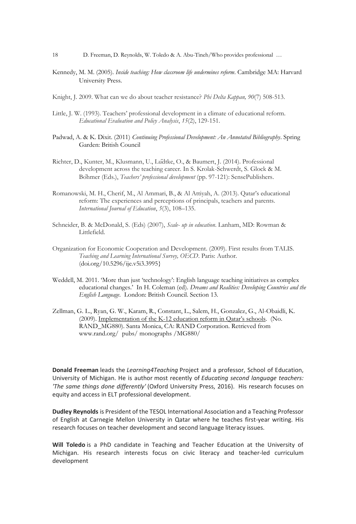- Kennedy, M. M. (2005). *Inside teaching: How classroom life undermines reform*. Cambridge MA: Harvard University Press.
- Knight, J. 2009. What can we do about teacher resistance? *Phi Delta Kappan, 90*(7) 508-513.
- Little, J. W. (1993). Teachers' professional development in a climate of educational reform. *Educational Evaluation and Policy Analysis*, *15*(2), 129-151.
- Padwad, A. & K. Dixit. (2011) *[Continuing Professional Development: An Annotated Bibliography](http://englishagenda.britishcouncil.org/books-resource-packs/continuing-professional-development-%E2%80%93-annotated-bibliography)*. Spring Garden: British Council
- Richter, D., Kunter, M., Klusmann, U., Lüdtke, O., & Baumert, J. (2014). Professional development across the teaching career. In S. Krolak-Schwerdt, S. Glock & M. Böhmer (Eds.), *Teachers' professional development* (pp. 97-121): SensePublishers.
- Romanowski, M. H., Cherif, M., Al Ammari, B., & Al Attiyah, A. (2013). Qatar's educational reform: The experiences and perceptions of principals, teachers and parents. *International Journal of Education*, *5*(3), 108–135.
- Schneider, B. & McDonald, S. (Eds) (2007), *Scale- up in education*. Lanham, MD: Rowman & Littlefield.
- Organization for Economic Cooperation and Development. (2009). First results from TALIS. *Teaching and Learning International Survey, OECD*. Paris: Author. [\(doi.org/10.5296/ije.v5i3.3995}](http://doi.org/10.5296/ije.v5i3.3995)
- Weddell, M. 2011. 'More than just 'technology': English language teaching initiatives as complex educational changes.' In H. Coleman (ed). *Dreams and Realities: Developing Countries and the English Language.* London: British Council. Section 13.
- [Zellman, G. L., Ryan, G. W., Karam, R., Constant, L., Salem, H., Gonzalez, G., Al-Obaidli, K.](http://www.rand.org/pubs/monographs/MG880/)  [\(2009\). I](http://www.rand.org/pubs/monographs/MG880/)mplementation of the K-[12 education reform in Qatar's schools](http://www.rand.org/pubs/monographs/MG880/)[. \(No.](http://www.rand.org/pubs/monographs/MG880/)  [RAND\\_MG880\). Santa Monica, CA: RAND Corporation. Retrieved from](http://www.rand.org/pubs/monographs/MG880/) [www.rand.org/ pubs/ monographs /MG880/](http://www.rand.org/%20%20pubs/%20monographs%20/MG880/)

**Donald Freeman** leads the *Learning4Teaching* Project and a professor, School of Education, University of Michigan. He is author most recently of *Educating second language teachers: 'The same things done differently'* (Oxford University Press, 2016). His research focuses on equity and access in ELT professional development.

**Dudley Reynolds** is President of the TESOL International Association and a Teaching Professor of English at Carnegie Mellon University in Qatar where he teaches first-year writing. His research focuses on teacher development and second language literacy issues.

**Will Toledo** is a PhD candidate in Teaching and Teacher Education at the University of Michigan. His research interests focus on civic literacy and teacher-led curriculum development